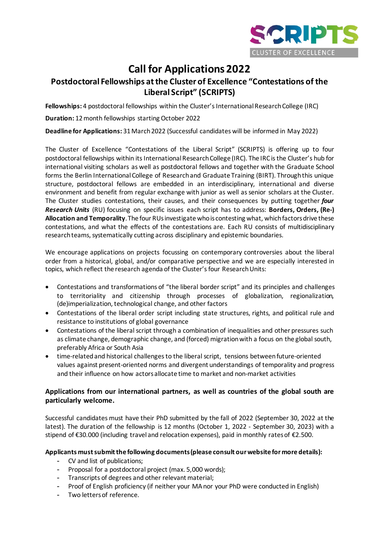

# **Call for Applications 2022**

## **Postdoctoral Fellowships at the Cluster of Excellence "Contestations of the Liberal Script" (SCRIPTS)**

**Fellowships:** 4 postdoctoral fellowships within the Cluster's International Research College (IRC)

**Duration:** 12month fellowships starting October 2022

**Deadline for Applications:** 31March2022 (Successful candidates will be informed in May 2022)

The Cluster of Excellence "Contestations of the Liberal Script" (SCRIPTS) is offering up to four postdoctoral fellowships within its International Research College (IRC). The IRC is the Cluster's hub for international visiting scholars as well as postdoctoral fellows and together with the Graduate School forms the Berlin International College of Research and Graduate Training (BIRT). Through this unique structure, postdoctoral fellows are embedded in an interdisciplinary, international and diverse environment and benefit from regular exchange with junior as well as senior scholars at the Cluster. The Cluster studies contestations, their causes, and their consequences by putting together *four Research Units* (RU) focusing on specific issues each script has to address: **Borders, Orders, (Re-) Allocation and Temporality**. The four RUs investigate who is contesting what, which factors drive these contestations, and what the effects of the contestations are. Each RU consists of multidisciplinary research teams, systematically cutting across disciplinary and epistemic boundaries.

We encourage applications on projects focussing on contemporary controversies about the liberal order from a historical, global, and/or comparative perspective and we are especially interested in topics, which reflect the research agenda of the Cluster's four Research Units:

- Contestations and transformations of "the liberal border script" and its principles and challenges to territoriality and citizenship through processes of globalization, regionalization, (de)imperialization, technological change, and other factors
- Contestations of the liberal order script including state structures, rights, and political rule and resistance to institutions of global governance
- Contestations of the liberal script through a combination of inequalities and other pressures such as climate change, demographic change, and (forced) migrationwith a focus on the global south, preferably Africa or South Asia
- time-relatedand historical challenges to the liberal script, tensions between future-oriented values against present-oriented norms and divergent understandings of temporality and progress and their influence on how actors allocate time to market and non-market activities

#### **Applications from our international partners, as well as countries of the global south are particularly welcome.**

Successful candidates must have their PhD submitted by the fall of 2022 (September 30, 2022 at the latest). The duration of the fellowship is 12 months (October 1, 2022 - September 30, 2023) with a stipend of €30.000 (including travel and relocation expenses), paid in monthly rates of €2.500.

#### **Applicants must submit the following documents(please consult our website for more details):**

- CV and list of publications;
- Proposal for a postdoctoral project (max. 5,000 words);
- Transcripts of degrees and other relevant material;
- Proof of English proficiency (if neither your MA nor your PhD were conducted in English)
- Two letters of reference.